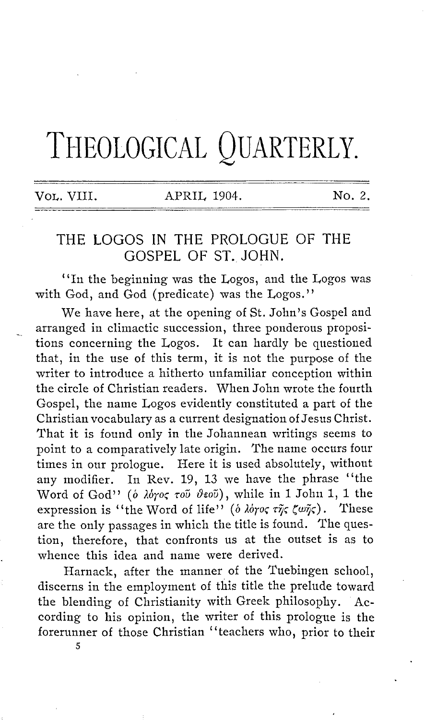## THEOLOGICAL QUARTERLY.

VOL. VIII. APRIL 1904. No. 2.

## THE LOGOS IN THE PROLOGUE OF THE GOSPEL OF ST. JOHN.

"In the beginning was the Logos, and the Logos was with God, and God (predicate) was the Logos."

We have here, at the opening of St. John's Gospel and arranged in climactic succession, three ponderous propositions concerning the Logos. It can hardly be questioned that, in the use of this term, it is not the purpose of the writer to introduce a hitherto unfamiliar conception within the circle of Christian readers. When John wrote the fourth Gospel, the name Logos evidently constituted a part of the Christian vocabulary as a current designation of Jesus Christ. That it is found only in the Johannean writings seems to point to a comparatively late origin. The name occurs four times in our prologue. Here it is used absolutely, without any modifier. In Rev. 19, 13 we have the phrase "the Word of God" (ο λόγος τοῦ θεοῦ), while in 1 John 1, 1 the expression is "the Word of life" (*δ λόγος της ζωης*). These are the only passages in which the title is found. The question, therefore, that confronts us at the outset is as to whence this idea and name were derived.

Harnack, after the manner of the Tuebingen school. discerns in the employment of this title the prelude toward the blending of Christianity with Greek philosophy. According to his opinion, the writer of this prologue is the forerunner of those Christian "teachers who, prior to their

5